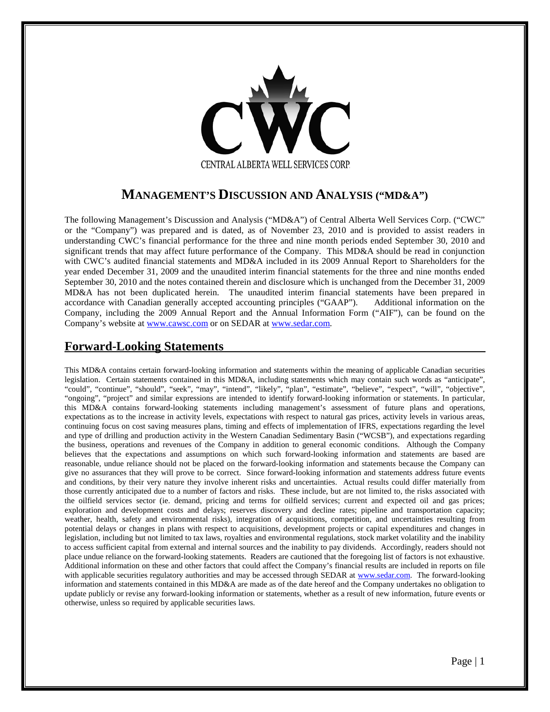

## **MANAGEMENT'S DISCUSSION AND ANALYSIS ("MD&A")**

The following Management's Discussion and Analysis ("MD&A") of Central Alberta Well Services Corp. ("CWC" or the "Company") was prepared and is dated, as of November 23, 2010 and is provided to assist readers in understanding CWC's financial performance for the three and nine month periods ended September 30, 2010 and significant trends that may affect future performance of the Company. This MD&A should be read in conjunction with CWC's audited financial statements and MD&A included in its 2009 Annual Report to Shareholders for the year ended December 31, 2009 and the unaudited interim financial statements for the three and nine months ended September 30, 2010 and the notes contained therein and disclosure which is unchanged from the December 31, 2009 MD&A has not been duplicated herein. The unaudited interim financial statements have been prepared in accordance with Canadian generally accepted accounting principles ("GAAP"). Additional information on the Company, including the 2009 Annual Report and the Annual Information Form ("AIF"), can be found on the Company's website at [www.cawsc.com](http://www.cawsc.com/) or on SEDAR at [www.sedar.com.](http://www.sedar.com/) 

## **Forward-Looking Statements**

This MD&A contains certain forward-looking information and statements within the meaning of applicable Canadian securities legislation. Certain statements contained in this MD&A, including statements which may contain such words as "anticipate", "could", "continue", "should", "seek", "may", "intend", "likely", "plan", "estimate", "believe", "expect", "will", "objective", "ongoing", "project" and similar expressions are intended to identify forward-looking information or statements. In particular, this MD&A contains forward-looking statements including management's assessment of future plans and operations, expectations as to the increase in activity levels, expectations with respect to natural gas prices, activity levels in various areas, continuing focus on cost saving measures plans, timing and effects of implementation of IFRS, expectations regarding the level and type of drilling and production activity in the Western Canadian Sedimentary Basin ("WCSB"), and expectations regarding the business, operations and revenues of the Company in addition to general economic conditions. Although the Company believes that the expectations and assumptions on which such forward-looking information and statements are based are reasonable, undue reliance should not be placed on the forward-looking information and statements because the Company can give no assurances that they will prove to be correct. Since forward-looking information and statements address future events and conditions, by their very nature they involve inherent risks and uncertainties. Actual results could differ materially from those currently anticipated due to a number of factors and risks. These include, but are not limited to, the risks associated with the oilfield services sector (ie. demand, pricing and terms for oilfield services; current and expected oil and gas prices; exploration and development costs and delays; reserves discovery and decline rates; pipeline and transportation capacity; weather, health, safety and environmental risks), integration of acquisitions, competition, and uncertainties resulting from potential delays or changes in plans with respect to acquisitions, development projects or capital expenditures and changes in legislation, including but not limited to tax laws, royalties and environmental regulations, stock market volatility and the inability to access sufficient capital from external and internal sources and the inability to pay dividends. Accordingly, readers should not place undue reliance on the forward-looking statements. Readers are cautioned that the foregoing list of factors is not exhaustive. Additional information on these and other factors that could affect the Company's financial results are included in reports on file with applicable securities regulatory authorities and may be accessed through SEDAR at [www.sedar.com.](http://www.sedar.com/) The forward-looking information and statements contained in this MD&A are made as of the date hereof and the Company undertakes no obligation to update publicly or revise any forward-looking information or statements, whether as a result of new information, future events or otherwise, unless so required by applicable securities laws.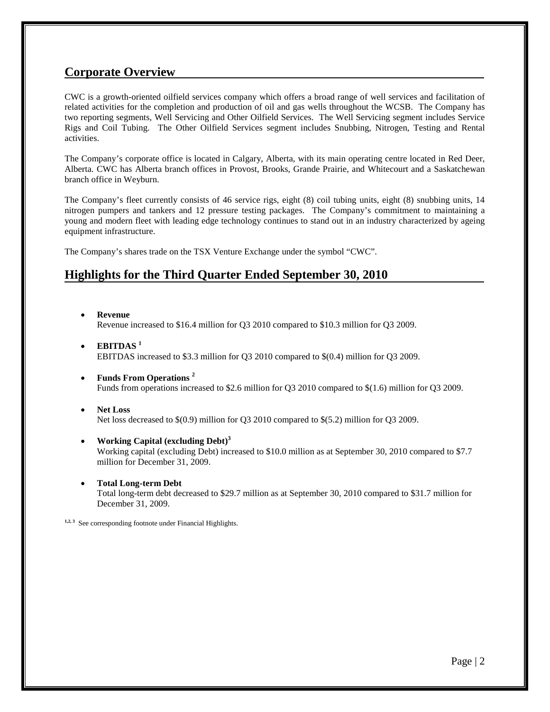## **Corporate Overview**

CWC is a growth-oriented oilfield services company which offers a broad range of well services and facilitation of related activities for the completion and production of oil and gas wells throughout the WCSB. The Company has two reporting segments, Well Servicing and Other Oilfield Services. The Well Servicing segment includes Service Rigs and Coil Tubing. The Other Oilfield Services segment includes Snubbing, Nitrogen, Testing and Rental activities.

The Company's corporate office is located in Calgary, Alberta, with its main operating centre located in Red Deer, Alberta. CWC has Alberta branch offices in Provost, Brooks, Grande Prairie, and Whitecourt and a Saskatchewan branch office in Weyburn.

The Company's fleet currently consists of 46 service rigs, eight (8) coil tubing units, eight (8) snubbing units, 14 nitrogen pumpers and tankers and 12 pressure testing packages. The Company's commitment to maintaining a young and modern fleet with leading edge technology continues to stand out in an industry characterized by ageing equipment infrastructure.

The Company's shares trade on the TSX Venture Exchange under the symbol "CWC".

## **Highlights for the Third Quarter Ended September 30, 2010**

- **Revenue** Revenue increased to \$16.4 million for Q3 2010 compared to \$10.3 million for Q3 2009.
- **EBITDAS <sup>1</sup>** EBITDAS increased to \$3.3 million for Q3 2010 compared to \$(0.4) million for Q3 2009.
- **Funds From Operations <sup>2</sup>** Funds from operations increased to \$2.6 million for Q3 2010 compared to \$(1.6) million for Q3 2009.
- **Net Loss** Net loss decreased to \$(0.9) million for Q3 2010 compared to \$(5.2) million for Q3 2009.
- **Working Capital (excluding Debt)<sup>3</sup>** Working capital (excluding Debt) increased to \$10.0 million as at September 30, 2010 compared to \$7.7 million for December 31, 2009.
- **Total Long-term Debt**

Total long-term debt decreased to \$29.7 million as at September 30, 2010 compared to \$31.7 million for December 31, 2009.

**1,2, 3** See corresponding footnote under Financial Highlights.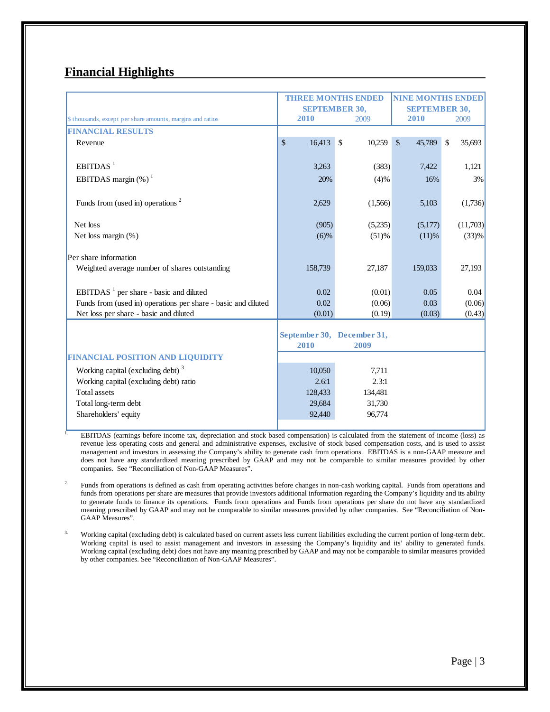## **Financial Highlights**

|                                                                 | <b>THREE MONTHS ENDED</b><br><b>SEPTEMBER 30,</b> |          | <b>NINE MONTHS ENDED</b><br><b>SEPTEMBER 30,</b> |               |  |
|-----------------------------------------------------------------|---------------------------------------------------|----------|--------------------------------------------------|---------------|--|
| \$ thousands, except per share amounts, margins and ratios      | 2010                                              | 2009     | 2010                                             | 2009          |  |
| <b>FINANCIAL RESULTS</b>                                        |                                                   |          |                                                  |               |  |
| Revenue                                                         | $\sqrt{\ }$<br>$16,413$ \$                        | 10,259   | $\sqrt{\ }$<br>45,789                            | 35,693<br>-\$ |  |
| EBITDAS <sup>1</sup>                                            | 3,263                                             | (383)    | 7,422                                            | 1,121         |  |
| EBITDAS margin $(\%)$ <sup>1</sup>                              | 20%                                               | (4)%     | 16%                                              | 3%            |  |
| Funds from (used in) operations $2$                             | 2,629                                             | (1,566)  | 5,103                                            | (1,736)       |  |
| Net loss                                                        | (905)                                             | (5,235)  | (5,177)                                          | (11,703)      |  |
| Net loss margin (%)                                             | (6)%                                              | $(51)$ % | (11)%                                            | (33)%         |  |
| Per share information                                           |                                                   |          |                                                  |               |  |
| Weighted average number of shares outstanding                   | 158,739                                           | 27,187   | 159,033                                          | 27,193        |  |
| EBITDAS <sup><math>1</math></sup> per share - basic and diluted | 0.02                                              | (0.01)   | 0.05                                             | 0.04          |  |
| Funds from (used in) operations per share - basic and diluted   | 0.02                                              | (0.06)   | 0.03                                             | (0.06)        |  |
| Net loss per share - basic and diluted                          | (0.01)                                            | (0.19)   | (0.03)                                           | (0.43)        |  |
|                                                                 | September 30, December 31,<br>2010                | 2009     |                                                  |               |  |
| FINANCIAL POSITION AND LIQUIDITY                                |                                                   |          |                                                  |               |  |
| Working capital (excluding debt) <sup>3</sup>                   | 10,050                                            | 7,711    |                                                  |               |  |
| Working capital (excluding debt) ratio                          | 2.6:1                                             | 2.3:1    |                                                  |               |  |
| <b>Total assets</b>                                             | 128,433                                           | 134,481  |                                                  |               |  |
| Total long-term debt                                            | 29,684                                            | 31,730   |                                                  |               |  |
| Shareholders' equity                                            | 92,440                                            | 96,774   |                                                  |               |  |

1. EBITDAS (earnings before income tax, depreciation and stock based compensation) is calculated from the statement of income (loss) as revenue less operating costs and general and administrative expenses, exclusive of stock based compensation costs, and is used to assist management and investors in assessing the Company's ability to generate cash from operations. EBITDAS is a non-GAAP measure and does not have any standardized meaning prescribed by GAAP and may not be comparable to similar measures provided by other companies. See "Reconciliation of Non-GAAP Measures".

<sup>2.</sup> Funds from operations is defined as cash from operating activities before changes in non-cash working capital. Funds from operations and funds from operations per share are measures that provide investors additional information regarding the Company's liquidity and its ability to generate funds to finance its operations. Funds from operations and Funds from operations per share do not have any standardized meaning prescribed by GAAP and may not be comparable to similar measures provided by other companies. See "Reconciliation of Non-GAAP Measures".

3. Working capital (excluding debt) is calculated based on current assets less current liabilities excluding the current portion of long-term debt. Working capital is used to assist management and investors in assessing the Company's liquidity and its' ability to generated funds. Working capital (excluding debt) does not have any meaning prescribed by GAAP and may not be comparable to similar measures provided by other companies. See "Reconciliation of Non-GAAP Measures".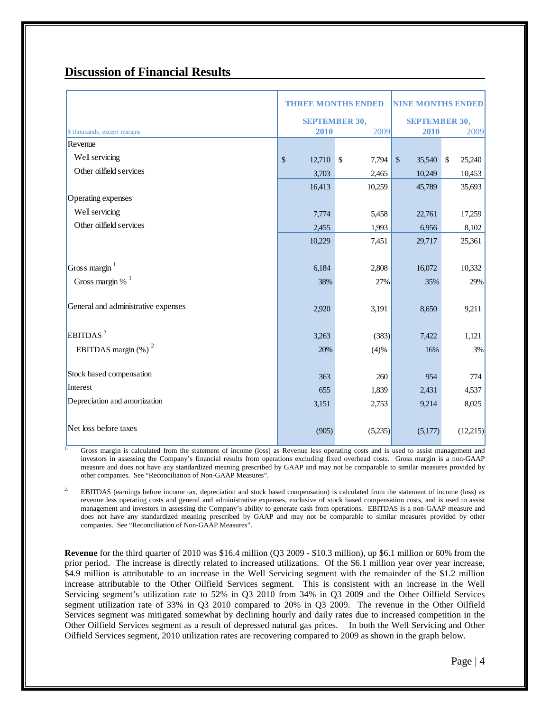## **Discussion of Financial Results**

|                                     | <b>THREE MONTHS ENDED</b> |        |                     |                                     | <b>NINE MONTHS ENDED</b> |  |  |  |
|-------------------------------------|---------------------------|--------|---------------------|-------------------------------------|--------------------------|--|--|--|
|                                     | <b>SEPTEMBER 30,</b>      |        |                     | <b>SEPTEMBER 30,</b>                |                          |  |  |  |
| \$ thousands, except margins        | 2010<br>2009              |        |                     | 2010                                | 2009                     |  |  |  |
| Revenue                             |                           |        |                     |                                     |                          |  |  |  |
| Well servicing                      | $\sqrt$                   | 12,710 | $\sqrt{2}$<br>7,794 | $\boldsymbol{\mathsf{S}}$<br>35,540 | $\sqrt$<br>25,240        |  |  |  |
| Other oilfield services             |                           | 3,703  | 2,465               | 10,249                              | 10,453                   |  |  |  |
|                                     |                           | 16,413 | 10,259              | 45,789                              | 35,693                   |  |  |  |
| Operating expenses                  |                           |        |                     |                                     |                          |  |  |  |
| Well servicing                      |                           | 7,774  | 5,458               | 22,761                              | 17,259                   |  |  |  |
| Other oilfield services             |                           | 2,455  | 1,993               | 6,956                               | 8,102                    |  |  |  |
|                                     |                           | 10,229 | 7,451               | 29,717                              | 25,361                   |  |  |  |
| Gross margin <sup>1</sup>           |                           | 6,184  | 2,808               | 16,072                              | 10,332                   |  |  |  |
| Gross margin % $1$                  |                           | 38%    | 27%                 | 35%                                 | 29%                      |  |  |  |
| General and administrative expenses |                           | 2,920  | 3,191               | 8,650                               | 9,211                    |  |  |  |
| EBITDAS <sup>2</sup>                |                           | 3,263  | (383)               | 7,422                               | 1,121                    |  |  |  |
| EBITDAS margin $(\%)$ <sup>2</sup>  |                           | 20%    | (4)%                | 16%                                 | $3\%$                    |  |  |  |
| Stock based compensation            |                           | 363    | 260                 | 954                                 | 774                      |  |  |  |
| Interest                            |                           | 655    | 1,839               | 2,431                               | 4,537                    |  |  |  |
| Depreciation and amortization       |                           | 3,151  | 2,753               | 9,214                               | 8,025                    |  |  |  |
| Net loss before taxes               |                           | (905)  | (5,235)             | (5,177)                             | (12,215)                 |  |  |  |

1. Gross margin is calculated from the statement of income (loss) as Revenue less operating costs and is used to assist management and investors in assessing the Company's financial results from operations excluding fixed overhead costs. Gross margin is a non-GAAP measure and does not have any standardized meaning prescribed by GAAP and may not be comparable to similar measures provided by other companies. See "Reconciliation of Non-GAAP Measures".

2. EBITDAS (earnings before income tax, depreciation and stock based compensation) is calculated from the statement of income (loss) as revenue less operating costs and general and administrative expenses, exclusive of stock based compensation costs, and is used to assist management and investors in assessing the Company's ability to generate cash from operations. EBITDAS is a non-GAAP measure and does not have any standardized meaning prescribed by GAAP and may not be comparable to similar measures provided by other companies. See "Reconciliation of Non-GAAP Measures".

**Revenue** for the third quarter of 2010 was \$16.4 million (Q3 2009 - \$10.3 million), up \$6.1 million or 60% from the prior period. The increase is directly related to increased utilizations. Of the \$6.1 million year over year increase, \$4.9 million is attributable to an increase in the Well Servicing segment with the remainder of the \$1.2 million increase attributable to the Other Oilfield Services segment. This is consistent with an increase in the Well Servicing segment's utilization rate to 52% in Q3 2010 from 34% in Q3 2009 and the Other Oilfield Services segment utilization rate of 33% in Q3 2010 compared to 20% in Q3 2009. The revenue in the Other Oilfield Services segment was mitigated somewhat by declining hourly and daily rates due to increased competition in the Other Oilfield Services segment as a result of depressed natural gas prices. In both the Well Servicing and Other Oilfield Services segment, 2010 utilization rates are recovering compared to 2009 as shown in the graph below.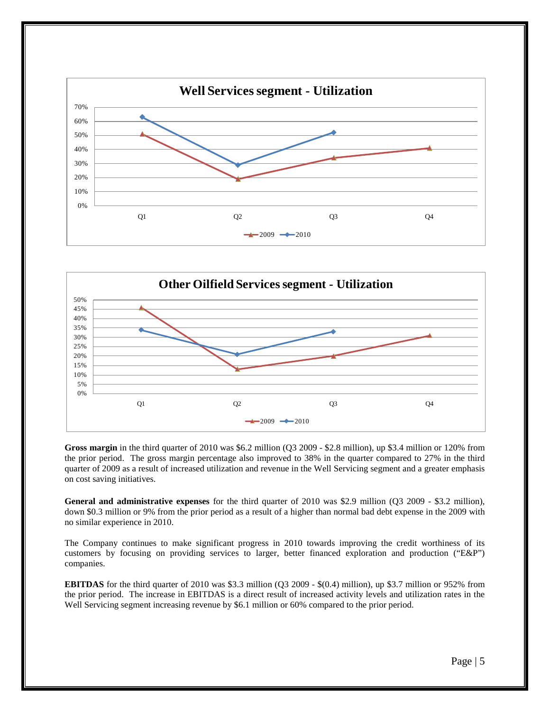



**Gross margin** in the third quarter of 2010 was \$6.2 million (Q3 2009 - \$2.8 million), up \$3.4 million or 120% from the prior period. The gross margin percentage also improved to 38% in the quarter compared to 27% in the third quarter of 2009 as a result of increased utilization and revenue in the Well Servicing segment and a greater emphasis on cost saving initiatives.

**General and administrative expenses** for the third quarter of 2010 was \$2.9 million (Q3 2009 - \$3.2 million), down \$0.3 million or 9% from the prior period as a result of a higher than normal bad debt expense in the 2009 with no similar experience in 2010.

The Company continues to make significant progress in 2010 towards improving the credit worthiness of its customers by focusing on providing services to larger, better financed exploration and production ("E&P") companies.

**EBITDAS** for the third quarter of 2010 was \$3.3 million (Q3 2009 -  $\$(0,4)$  million), up \$3.7 million or 952% from the prior period. The increase in EBITDAS is a direct result of increased activity levels and utilization rates in the Well Servicing segment increasing revenue by \$6.1 million or 60% compared to the prior period.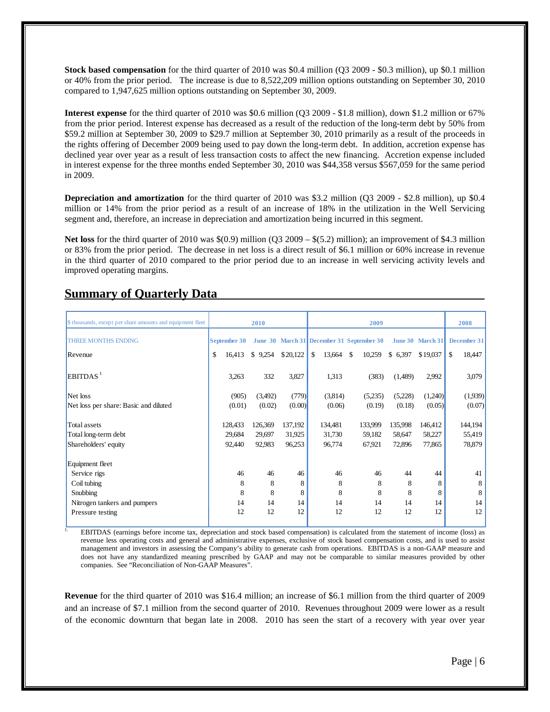**Stock based compensation** for the third quarter of 2010 was \$0.4 million (Q3 2009 - \$0.3 million), up \$0.1 million or 40% from the prior period. The increase is due to 8,522,209 million options outstanding on September 30, 2010 compared to 1,947,625 million options outstanding on September 30, 2009.

**Interest expense** for the third quarter of 2010 was \$0.6 million (Q3 2009 - \$1.8 million), down \$1.2 million or 67% from the prior period. Interest expense has decreased as a result of the reduction of the long-term debt by 50% from \$59.2 million at September 30, 2009 to \$29.7 million at September 30, 2010 primarily as a result of the proceeds in the rights offering of December 2009 being used to pay down the long-term debt. In addition, accretion expense has declined year over year as a result of less transaction costs to affect the new financing. Accretion expense included in interest expense for the three months ended September 30, 2010 was \$44,358 versus \$567,059 for the same period in 2009.

**Depreciation and amortization** for the third quarter of 2010 was \$3.2 million (Q3 2009 - \$2.8 million), up \$0.4 million or 14% from the prior period as a result of an increase of 18% in the utilization in the Well Servicing segment and, therefore, an increase in depreciation and amortization being incurred in this segment.

**Net loss** for the third quarter of 2010 was \$(0.9) million (Q3 2009 – \$(5.2) million); an improvement of \$4.3 million or 83% from the prior period. The decrease in net loss is a direct result of \$6.1 million or 60% increase in revenue in the third quarter of 2010 compared to the prior period due to an increase in well servicing activity levels and improved operating margins.

| \$ thousands, except per share amounts and equipment fleet |                     | 2010    |          |                           | 2009                                      |         |          | 2008                         |
|------------------------------------------------------------|---------------------|---------|----------|---------------------------|-------------------------------------------|---------|----------|------------------------------|
| <b>THREE MONTHS ENDING</b>                                 | <b>September 30</b> |         |          |                           | June 30 March 31 December 31 September 30 |         |          | June 30 March 31 December 31 |
| Revenue                                                    | \$<br>16.413        | \$9,254 | \$20,122 | $\mathbb{S}$<br>13,664 \$ | 10,259                                    | \$6,397 | \$19,037 | $\mathbb{S}$<br>18,447       |
| EBITDAS <sup>1</sup>                                       | 3,263               | 332     | 3,827    | 1,313                     | (383)                                     | (1,489) | 2,992    | 3,079                        |
| Net loss                                                   | (905)               | (3,492) | (779)    | (3,814)                   | (5,235)                                   | (5,228) | (1,240)  | (1,939)                      |
| Net loss per share: Basic and diluted                      | (0.01)              | (0.02)  | (0.00)   | (0.06)                    | (0.19)                                    | (0.18)  | (0.05)   | (0.07)                       |
| Total assets                                               | 128,433             | 126,369 | 137,192  | 134,481                   | 133,999                                   | 135,998 | 146,412  | 144,194                      |
| Total long-term debt                                       | 29,684              | 29,697  | 31,925   | 31,730                    | 59,182                                    | 58,647  | 58,227   | 55,419                       |
| Shareholders' equity                                       | 92,440              | 92,983  | 96,253   | 96,774                    | 67,921                                    | 72.896  | 77,865   | 78,879                       |
| Equipment fleet                                            |                     |         |          |                           |                                           |         |          |                              |
| Service rigs                                               | 46                  | 46      | 46       | 46                        | 46                                        | 44      | 44       | 41                           |
| Coil tubing                                                | 8                   | 8       | 8        | 8                         | 8                                         | 8       | 8        | 8                            |
| Snubbing                                                   | 8                   | 8       | 8        | 8                         | 8                                         | 8       | 8        | 8                            |
| Nitrogen tankers and pumpers                               | 14                  | 14      | 14       | 14                        | 14                                        | 14      | 14       | 14                           |
| Pressure testing                                           | 12                  | 12      | 12       | 12                        | 12                                        | 12      | 12       | 12                           |

# **Summary of Quarterly Data**

1. EBITDAS (earnings before income tax, depreciation and stock based compensation) is calculated from the statement of income (loss) as revenue less operating costs and general and administrative expenses, exclusive of stock based compensation costs, and is used to assist management and investors in assessing the Company's ability to generate cash from operations. EBITDAS is a non-GAAP measure and does not have any standardized meaning prescribed by GAAP and may not be comparable to similar measures provided by other companies. See "Reconciliation of Non-GAAP Measures".

**Revenue** for the third quarter of 2010 was \$16.4 million; an increase of \$6.1 million from the third quarter of 2009 and an increase of \$7.1 million from the second quarter of 2010. Revenues throughout 2009 were lower as a result of the economic downturn that began late in 2008. 2010 has seen the start of a recovery with year over year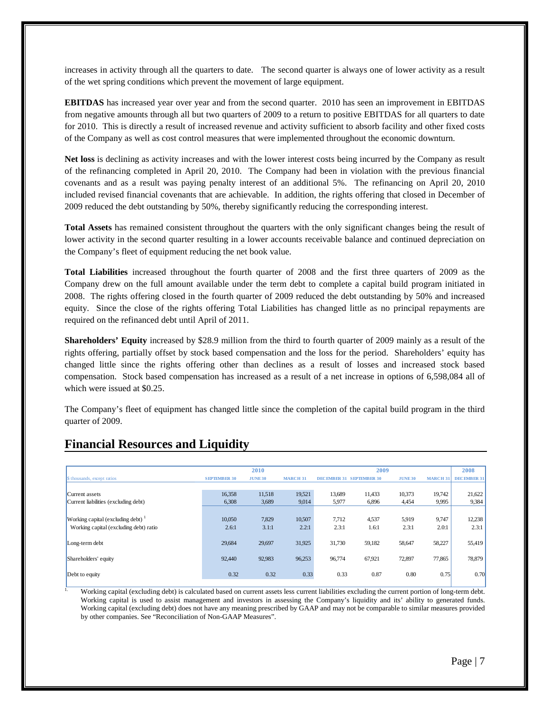increases in activity through all the quarters to date. The second quarter is always one of lower activity as a result of the wet spring conditions which prevent the movement of large equipment.

**EBITDAS** has increased year over year and from the second quarter. 2010 has seen an improvement in EBITDAS from negative amounts through all but two quarters of 2009 to a return to positive EBITDAS for all quarters to date for 2010. This is directly a result of increased revenue and activity sufficient to absorb facility and other fixed costs of the Company as well as cost control measures that were implemented throughout the economic downturn.

**Net loss** is declining as activity increases and with the lower interest costs being incurred by the Company as result of the refinancing completed in April 20, 2010. The Company had been in violation with the previous financial covenants and as a result was paying penalty interest of an additional 5%. The refinancing on April 20, 2010 included revised financial covenants that are achievable. In addition, the rights offering that closed in December of 2009 reduced the debt outstanding by 50%, thereby significantly reducing the corresponding interest.

**Total Assets** has remained consistent throughout the quarters with the only significant changes being the result of lower activity in the second quarter resulting in a lower accounts receivable balance and continued depreciation on the Company's fleet of equipment reducing the net book value.

**Total Liabilities** increased throughout the fourth quarter of 2008 and the first three quarters of 2009 as the Company drew on the full amount available under the term debt to complete a capital build program initiated in 2008. The rights offering closed in the fourth quarter of 2009 reduced the debt outstanding by 50% and increased equity. Since the close of the rights offering Total Liabilities has changed little as no principal repayments are required on the refinanced debt until April of 2011.

**Shareholders' Equity** increased by \$28.9 million from the third to fourth quarter of 2009 mainly as a result of the rights offering, partially offset by stock based compensation and the loss for the period. Shareholders' equity has changed little since the rights offering other than declines as a result of losses and increased stock based compensation. Stock based compensation has increased as a result of a net increase in options of 6,598,084 all of which were issued at \$0.25.

The Company's fleet of equipment has changed little since the completion of the capital build program in the third quarter of 2009.

|                                                                            |                     | 2010           |                 |                | 2009                     |                |                 | 2008               |
|----------------------------------------------------------------------------|---------------------|----------------|-----------------|----------------|--------------------------|----------------|-----------------|--------------------|
| \$ thousands, except ratios                                                | <b>SEPTEMBER 30</b> | <b>JUNE 30</b> | <b>MARCH 31</b> |                | DECEMBER 31 SEPTEMBER 30 | <b>JUNE 30</b> | <b>MARCH 31</b> | <b>DECEMBER 31</b> |
| Current assets                                                             | 16,358              | 11,518         | 19,521          | 13,689         | 11,433                   | 10,373         | 19,742          | 21,622             |
| Current liabilities (excluding debt)                                       | 6,308               | 3,689          | 9,014           | 5,977          | 6,896                    | 4,454          | 9,995           | 9,384              |
| Working capital (excluding debt)<br>Working capital (excluding debt) ratio | 10,050<br>2.6:1     | 7,829<br>3.1:1 | 10,507<br>2.2:1 | 7,712<br>2.3:1 | 4,537<br>1.6:1           | 5.919<br>2.3:1 | 9,747<br>2.0:1  | 12,238<br>2.3:1    |
| Long-term debt                                                             | 29,684              | 29,697         | 31,925          | 31,730         | 59,182                   | 58,647         | 58,227          | 55,419             |
| Shareholders' equity                                                       | 92,440              | 92,983         | 96,253          | 96,774         | 67,921                   | 72,897         | 77,865          | 78,879             |
| Debt to equity                                                             | 0.32                | 0.32           | 0.33            | 0.33           | 0.87                     | 0.80           | 0.75            | 0.70               |

## **Financial Resources and Liquidity**

1. Working capital (excluding debt) is calculated based on current assets less current liabilities excluding the current portion of long-term debt. Working capital is used to assist management and investors in assessing the Company's liquidity and its' ability to generated funds. Working capital (excluding debt) does not have any meaning prescribed by GAAP and may not be comparable to similar measures provided by other companies. See "Reconciliation of Non-GAAP Measures".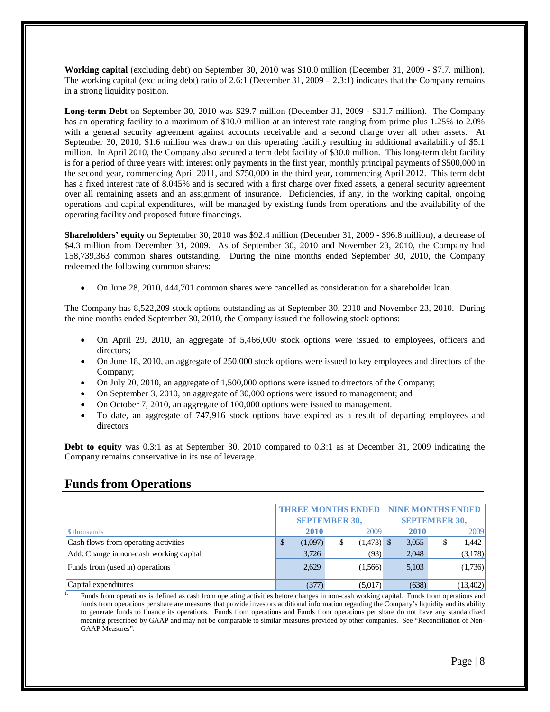**Working capital** (excluding debt) on September 30, 2010 was \$10.0 million (December 31, 2009 - \$7.7. million). The working capital (excluding debt) ratio of 2.6:1 (December 31, 2009 – 2.3:1) indicates that the Company remains in a strong liquidity position.

**Long-term Debt** on September 30, 2010 was \$29.7 million (December 31, 2009 - \$31.7 million). The Company has an operating facility to a maximum of \$10.0 million at an interest rate ranging from prime plus 1.25% to 2.0% with a general security agreement against accounts receivable and a second charge over all other assets. At September 30, 2010, \$1.6 million was drawn on this operating facility resulting in additional availability of \$5.1 million. In April 2010, the Company also secured a term debt facility of \$30.0 million. This long-term debt facility is for a period of three years with interest only payments in the first year, monthly principal payments of \$500,000 in the second year, commencing April 2011, and \$750,000 in the third year, commencing April 2012. This term debt has a fixed interest rate of 8.045% and is secured with a first charge over fixed assets, a general security agreement over all remaining assets and an assignment of insurance. Deficiencies, if any, in the working capital, ongoing operations and capital expenditures, will be managed by existing funds from operations and the availability of the operating facility and proposed future financings.

**Shareholders' equity** on September 30, 2010 was \$92.4 million (December 31, 2009 - \$96.8 million), a decrease of \$4.3 million from December 31, 2009. As of September 30, 2010 and November 23, 2010, the Company had 158,739,363 common shares outstanding. During the nine months ended September 30, 2010, the Company redeemed the following common shares:

• On June 28, 2010, 444,701 common shares were cancelled as consideration for a shareholder loan.

The Company has 8,522,209 stock options outstanding as at September 30, 2010 and November 23, 2010. During the nine months ended September 30, 2010, the Company issued the following stock options:

- On April 29, 2010, an aggregate of 5,466,000 stock options were issued to employees, officers and directors;
- On June 18, 2010, an aggregate of 250,000 stock options were issued to key employees and directors of the Company;
- On July 20, 2010, an aggregate of 1,500,000 options were issued to directors of the Company;
- On September 3, 2010, an aggregate of 30,000 options were issued to management; and
- On October 7, 2010, an aggregate of 100,000 options were issued to management.
- To date, an aggregate of 747,916 stock options have expired as a result of departing employees and directors

**Debt to equity** was 0.3:1 as at September 30, 2010 compared to 0.3:1 as at December 31, 2009 indicating the Company remains conservative in its use of leverage.

# **Funds from Operations**

|                                              | <b>THREE MONTHS ENDED</b> |         |  |              | <b>NINE MONTHS ENDED</b> |                      |   |          |  |
|----------------------------------------------|---------------------------|---------|--|--------------|--------------------------|----------------------|---|----------|--|
|                                              | <b>SEPTEMBER 30,</b>      |         |  |              |                          | <b>SEPTEMBER 30,</b> |   |          |  |
| <b>S</b> thousands                           |                           | 2010    |  | 2009         |                          | 2010                 |   | 2009     |  |
| Cash flows from operating activities         | <sup>\$</sup>             | (1,097) |  | $(1,473)$ \$ |                          | 3,055                | S | 1,442    |  |
| Add: Change in non-cash working capital      |                           | 3,726   |  | (93)         |                          | 2,048                |   | (3,178)  |  |
| Funds from (used in) operations <sup>1</sup> |                           | 2,629   |  | (1,566)      |                          | 5,103                |   | (1,736)  |  |
| Capital expenditures                         |                           | (377)   |  | (5,017)      |                          | (638)                |   | (13,402) |  |

1. Funds from operations is defined as cash from operating activities before changes in non-cash working capital. Funds from operations and funds from operations per share are measures that provide investors additional information regarding the Company's liquidity and its ability to generate funds to finance its operations. Funds from operations and Funds from operations per share do not have any standardized meaning prescribed by GAAP and may not be comparable to similar measures provided by other companies. See "Reconciliation of Non-GAAP Measures".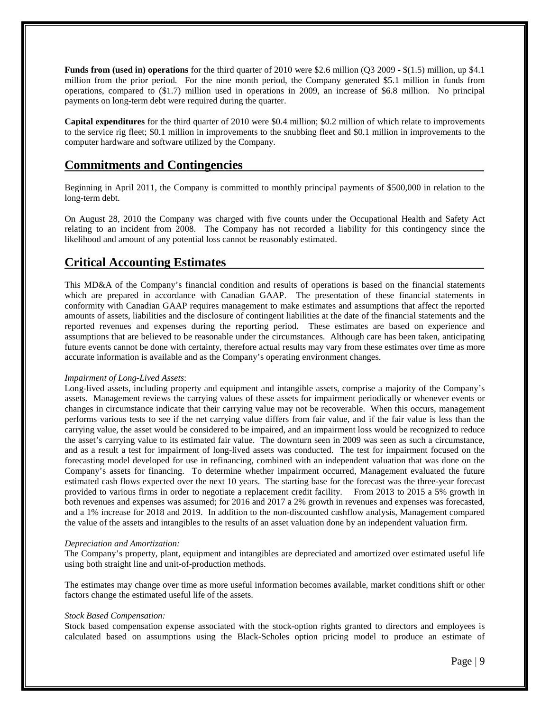**Funds from (used in) operations** for the third quarter of 2010 were \$2.6 million (Q3 2009 - \$(1.5) million, up \$4.1 million from the prior period. For the nine month period, the Company generated \$5.1 million in funds from operations, compared to (\$1.7) million used in operations in 2009, an increase of \$6.8 million. No principal payments on long-term debt were required during the quarter.

**Capital expenditures** for the third quarter of 2010 were \$0.4 million; \$0.2 million of which relate to improvements to the service rig fleet; \$0.1 million in improvements to the snubbing fleet and \$0.1 million in improvements to the computer hardware and software utilized by the Company.

## **Commitments and Contingencies**

Beginning in April 2011, the Company is committed to monthly principal payments of \$500,000 in relation to the long-term debt.

On August 28, 2010 the Company was charged with five counts under the Occupational Health and Safety Act relating to an incident from 2008. The Company has not recorded a liability for this contingency since the likelihood and amount of any potential loss cannot be reasonably estimated.

## **Critical Accounting Estimates**

This MD&A of the Company's financial condition and results of operations is based on the financial statements which are prepared in accordance with Canadian GAAP. The presentation of these financial statements in conformity with Canadian GAAP requires management to make estimates and assumptions that affect the reported amounts of assets, liabilities and the disclosure of contingent liabilities at the date of the financial statements and the reported revenues and expenses during the reporting period. These estimates are based on experience and assumptions that are believed to be reasonable under the circumstances. Although care has been taken, anticipating future events cannot be done with certainty, therefore actual results may vary from these estimates over time as more accurate information is available and as the Company's operating environment changes.

### *Impairment of Long-Lived Assets*:

Long-lived assets, including property and equipment and intangible assets, comprise a majority of the Company's assets. Management reviews the carrying values of these assets for impairment periodically or whenever events or changes in circumstance indicate that their carrying value may not be recoverable. When this occurs, management performs various tests to see if the net carrying value differs from fair value, and if the fair value is less than the carrying value, the asset would be considered to be impaired, and an impairment loss would be recognized to reduce the asset's carrying value to its estimated fair value. The downturn seen in 2009 was seen as such a circumstance, and as a result a test for impairment of long-lived assets was conducted. The test for impairment focused on the forecasting model developed for use in refinancing, combined with an independent valuation that was done on the Company's assets for financing. To determine whether impairment occurred, Management evaluated the future estimated cash flows expected over the next 10 years. The starting base for the forecast was the three-year forecast provided to various firms in order to negotiate a replacement credit facility. From 2013 to 2015 a 5% growth in both revenues and expenses was assumed; for 2016 and 2017 a 2% growth in revenues and expenses was forecasted, and a 1% increase for 2018 and 2019. In addition to the non-discounted cashflow analysis, Management compared the value of the assets and intangibles to the results of an asset valuation done by an independent valuation firm.

### *Depreciation and Amortization:*

The Company's property, plant, equipment and intangibles are depreciated and amortized over estimated useful life using both straight line and unit-of-production methods.

The estimates may change over time as more useful information becomes available, market conditions shift or other factors change the estimated useful life of the assets.

### *Stock Based Compensation:*

Stock based compensation expense associated with the stock-option rights granted to directors and employees is calculated based on assumptions using the Black-Scholes option pricing model to produce an estimate of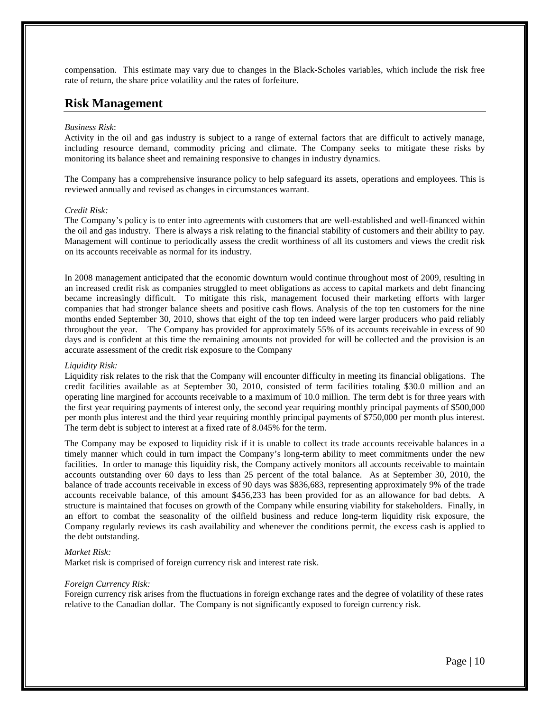compensation. This estimate may vary due to changes in the Black-Scholes variables, which include the risk free rate of return, the share price volatility and the rates of forfeiture.

## **Risk Management**

#### *Business Risk*:

Activity in the oil and gas industry is subject to a range of external factors that are difficult to actively manage, including resource demand, commodity pricing and climate. The Company seeks to mitigate these risks by monitoring its balance sheet and remaining responsive to changes in industry dynamics.

The Company has a comprehensive insurance policy to help safeguard its assets, operations and employees. This is reviewed annually and revised as changes in circumstances warrant.

#### *Credit Risk:*

The Company's policy is to enter into agreements with customers that are well-established and well-financed within the oil and gas industry. There is always a risk relating to the financial stability of customers and their ability to pay. Management will continue to periodically assess the credit worthiness of all its customers and views the credit risk on its accounts receivable as normal for its industry.

In 2008 management anticipated that the economic downturn would continue throughout most of 2009, resulting in an increased credit risk as companies struggled to meet obligations as access to capital markets and debt financing became increasingly difficult. To mitigate this risk, management focused their marketing efforts with larger companies that had stronger balance sheets and positive cash flows. Analysis of the top ten customers for the nine months ended September 30, 2010, shows that eight of the top ten indeed were larger producers who paid reliably throughout the year. The Company has provided for approximately 55% of its accounts receivable in excess of 90 days and is confident at this time the remaining amounts not provided for will be collected and the provision is an accurate assessment of the credit risk exposure to the Company

#### *Liquidity Risk:*

Liquidity risk relates to the risk that the Company will encounter difficulty in meeting its financial obligations. The credit facilities available as at September 30, 2010, consisted of term facilities totaling \$30.0 million and an operating line margined for accounts receivable to a maximum of 10.0 million. The term debt is for three years with the first year requiring payments of interest only, the second year requiring monthly principal payments of \$500,000 per month plus interest and the third year requiring monthly principal payments of \$750,000 per month plus interest. The term debt is subject to interest at a fixed rate of 8.045% for the term.

The Company may be exposed to liquidity risk if it is unable to collect its trade accounts receivable balances in a timely manner which could in turn impact the Company's long-term ability to meet commitments under the new facilities. In order to manage this liquidity risk, the Company actively monitors all accounts receivable to maintain accounts outstanding over 60 days to less than 25 percent of the total balance. As at September 30, 2010, the balance of trade accounts receivable in excess of 90 days was \$836,683, representing approximately 9% of the trade accounts receivable balance, of this amount \$456,233 has been provided for as an allowance for bad debts. A structure is maintained that focuses on growth of the Company while ensuring viability for stakeholders. Finally, in an effort to combat the seasonality of the oilfield business and reduce long-term liquidity risk exposure, the Company regularly reviews its cash availability and whenever the conditions permit, the excess cash is applied to the debt outstanding.

#### *Market Risk:*

Market risk is comprised of foreign currency risk and interest rate risk.

#### *Foreign Currency Risk:*

Foreign currency risk arises from the fluctuations in foreign exchange rates and the degree of volatility of these rates relative to the Canadian dollar. The Company is not significantly exposed to foreign currency risk.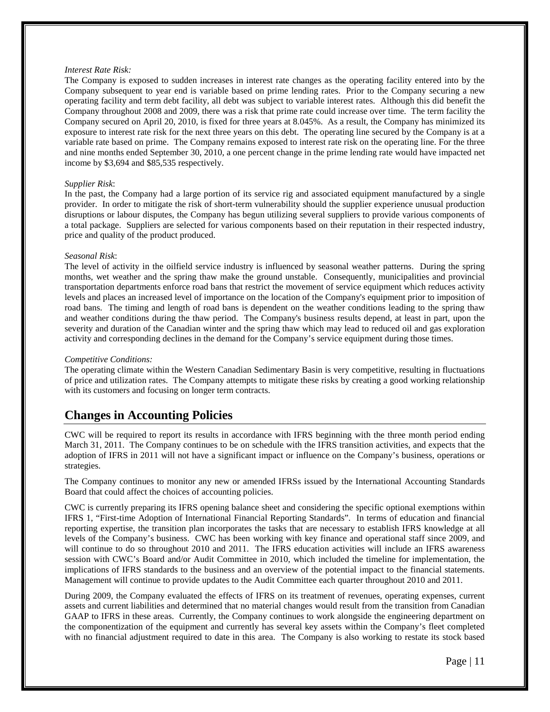#### *Interest Rate Risk:*

The Company is exposed to sudden increases in interest rate changes as the operating facility entered into by the Company subsequent to year end is variable based on prime lending rates. Prior to the Company securing a new operating facility and term debt facility, all debt was subject to variable interest rates. Although this did benefit the Company throughout 2008 and 2009, there was a risk that prime rate could increase over time. The term facility the Company secured on April 20, 2010, is fixed for three years at 8.045%. As a result, the Company has minimized its exposure to interest rate risk for the next three years on this debt. The operating line secured by the Company is at a variable rate based on prime. The Company remains exposed to interest rate risk on the operating line. For the three and nine months ended September 30, 2010, a one percent change in the prime lending rate would have impacted net income by \$3,694 and \$85,535 respectively.

### *Supplier Risk*:

In the past, the Company had a large portion of its service rig and associated equipment manufactured by a single provider. In order to mitigate the risk of short-term vulnerability should the supplier experience unusual production disruptions or labour disputes, the Company has begun utilizing several suppliers to provide various components of a total package. Suppliers are selected for various components based on their reputation in their respected industry, price and quality of the product produced.

### *Seasonal Risk*:

The level of activity in the oilfield service industry is influenced by seasonal weather patterns. During the spring months, wet weather and the spring thaw make the ground unstable. Consequently, municipalities and provincial transportation departments enforce road bans that restrict the movement of service equipment which reduces activity levels and places an increased level of importance on the location of the Company's equipment prior to imposition of road bans. The timing and length of road bans is dependent on the weather conditions leading to the spring thaw and weather conditions during the thaw period. The Company's business results depend, at least in part, upon the severity and duration of the Canadian winter and the spring thaw which may lead to reduced oil and gas exploration activity and corresponding declines in the demand for the Company's service equipment during those times.

### *Competitive Conditions:*

The operating climate within the Western Canadian Sedimentary Basin is very competitive, resulting in fluctuations of price and utilization rates. The Company attempts to mitigate these risks by creating a good working relationship with its customers and focusing on longer term contracts.

## **Changes in Accounting Policies**

CWC will be required to report its results in accordance with IFRS beginning with the three month period ending March 31, 2011. The Company continues to be on schedule with the IFRS transition activities, and expects that the adoption of IFRS in 2011 will not have a significant impact or influence on the Company's business, operations or strategies.

The Company continues to monitor any new or amended IFRSs issued by the International Accounting Standards Board that could affect the choices of accounting policies.

CWC is currently preparing its IFRS opening balance sheet and considering the specific optional exemptions within IFRS 1, "First-time Adoption of International Financial Reporting Standards". In terms of education and financial reporting expertise, the transition plan incorporates the tasks that are necessary to establish IFRS knowledge at all levels of the Company's business. CWC has been working with key finance and operational staff since 2009, and will continue to do so throughout 2010 and 2011. The IFRS education activities will include an IFRS awareness session with CWC's Board and/or Audit Committee in 2010, which included the timeline for implementation, the implications of IFRS standards to the business and an overview of the potential impact to the financial statements. Management will continue to provide updates to the Audit Committee each quarter throughout 2010 and 2011.

During 2009, the Company evaluated the effects of IFRS on its treatment of revenues, operating expenses, current assets and current liabilities and determined that no material changes would result from the transition from Canadian GAAP to IFRS in these areas. Currently, the Company continues to work alongside the engineering department on the componentization of the equipment and currently has several key assets within the Company's fleet completed with no financial adjustment required to date in this area. The Company is also working to restate its stock based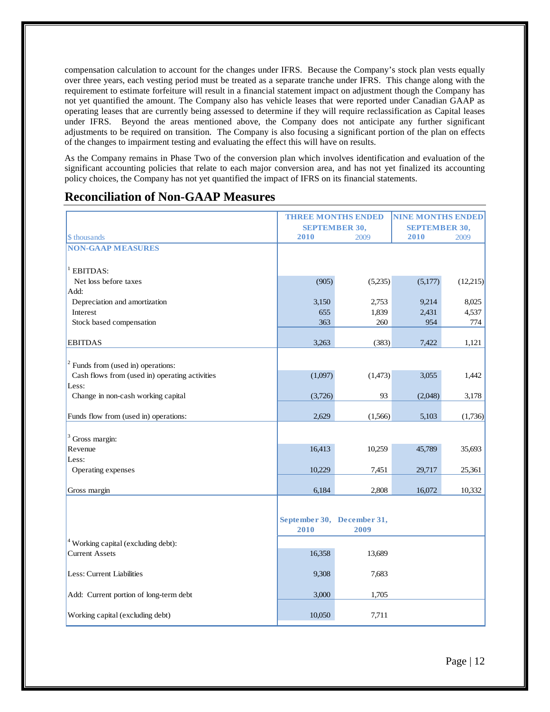compensation calculation to account for the changes under IFRS. Because the Company's stock plan vests equally over three years, each vesting period must be treated as a separate tranche under IFRS. This change along with the requirement to estimate forfeiture will result in a financial statement impact on adjustment though the Company has not yet quantified the amount. The Company also has vehicle leases that were reported under Canadian GAAP as operating leases that are currently being assessed to determine if they will require reclassification as Capital leases under IFRS. Beyond the areas mentioned above, the Company does not anticipate any further significant adjustments to be required on transition. The Company is also focusing a significant portion of the plan on effects of the changes to impairment testing and evaluating the effect this will have on results.

As the Company remains in Phase Two of the conversion plan which involves identification and evaluation of the significant accounting policies that relate to each major conversion area, and has not yet finalized its accounting policy choices, the Company has not yet quantified the impact of IFRS on its financial statements.

## **Reconciliation of Non-GAAP Measures**

|                                                                                        | <b>THREE MONTHS ENDED</b>          |                      | <b>NINE MONTHS ENDED</b>             |          |  |
|----------------------------------------------------------------------------------------|------------------------------------|----------------------|--------------------------------------|----------|--|
|                                                                                        | 2010                               | <b>SEPTEMBER 30,</b> | <b>SEPTEMBER 30,</b><br>2010<br>2009 |          |  |
| \$ thousands<br><b>NON-GAAP MEASURES</b>                                               |                                    | 2009                 |                                      |          |  |
|                                                                                        |                                    |                      |                                      |          |  |
| $1$ EBITDAS:                                                                           |                                    |                      |                                      |          |  |
| Net loss before taxes                                                                  | (905)                              | (5,235)              | (5,177)                              | (12,215) |  |
| Add:                                                                                   |                                    |                      |                                      |          |  |
| Depreciation and amortization                                                          | 3,150                              | 2,753                | 9,214                                | 8,025    |  |
| Interest                                                                               | 655                                | 1,839                | 2,431                                | 4,537    |  |
| Stock based compensation                                                               | 363                                | 260                  | 954                                  | 774      |  |
| <b>EBITDAS</b>                                                                         | 3,263                              | (383)                | 7,422                                | 1,121    |  |
|                                                                                        |                                    |                      |                                      |          |  |
| $2$ Funds from (used in) operations:<br>Cash flows from (used in) operating activities |                                    | (1,473)              |                                      |          |  |
| Less:                                                                                  | (1,097)                            |                      | 3,055                                | 1,442    |  |
| Change in non-cash working capital                                                     | (3,726)                            | 93                   | (2,048)                              | 3,178    |  |
|                                                                                        |                                    |                      |                                      |          |  |
| Funds flow from (used in) operations:                                                  | 2,629                              | (1,566)              | 5,103                                | (1,736)  |  |
|                                                                                        |                                    |                      |                                      |          |  |
| <sup>3</sup> Gross margin:<br>Revenue                                                  | 16,413                             | 10,259               | 45,789                               | 35,693   |  |
| Less:                                                                                  |                                    |                      |                                      |          |  |
| Operating expenses                                                                     | 10,229                             | 7,451                | 29,717                               | 25,361   |  |
|                                                                                        |                                    |                      |                                      |          |  |
| Gross margin                                                                           | 6,184                              | 2,808                | 16,072                               | 10,332   |  |
|                                                                                        |                                    |                      |                                      |          |  |
|                                                                                        |                                    |                      |                                      |          |  |
|                                                                                        | September 30, December 31,<br>2010 | 2009                 |                                      |          |  |
|                                                                                        |                                    |                      |                                      |          |  |
| <sup>4</sup> Working capital (excluding debt):                                         |                                    |                      |                                      |          |  |
| <b>Current Assets</b>                                                                  | 16,358                             | 13,689               |                                      |          |  |
| Less: Current Liabilities                                                              | 9,308                              | 7,683                |                                      |          |  |
| Add: Current portion of long-term debt                                                 | 3,000                              | 1,705                |                                      |          |  |
| Working capital (excluding debt)                                                       | 10,050                             | 7,711                |                                      |          |  |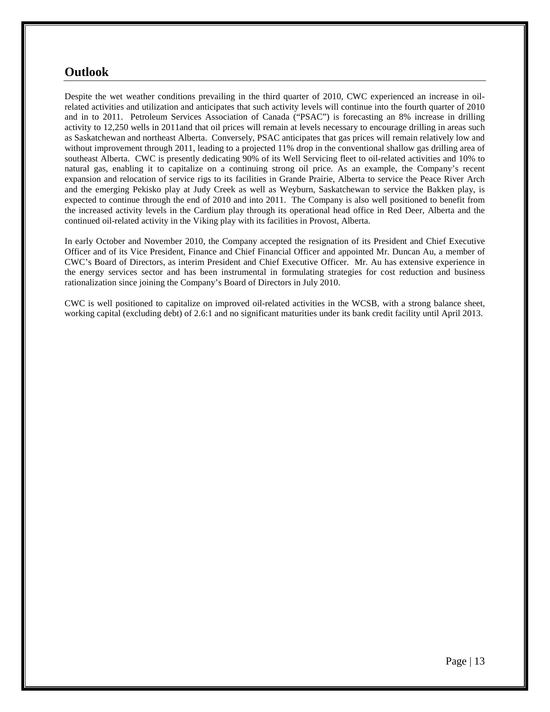## **Outlook**

Despite the wet weather conditions prevailing in the third quarter of 2010, CWC experienced an increase in oilrelated activities and utilization and anticipates that such activity levels will continue into the fourth quarter of 2010 and in to 2011. Petroleum Services Association of Canada ("PSAC") is forecasting an 8% increase in drilling activity to 12,250 wells in 2011and that oil prices will remain at levels necessary to encourage drilling in areas such as Saskatchewan and northeast Alberta. Conversely, PSAC anticipates that gas prices will remain relatively low and without improvement through 2011, leading to a projected 11% drop in the conventional shallow gas drilling area of southeast Alberta. CWC is presently dedicating 90% of its Well Servicing fleet to oil-related activities and 10% to natural gas, enabling it to capitalize on a continuing strong oil price. As an example, the Company's recent expansion and relocation of service rigs to its facilities in Grande Prairie, Alberta to service the Peace River Arch and the emerging Pekisko play at Judy Creek as well as Weyburn, Saskatchewan to service the Bakken play, is expected to continue through the end of 2010 and into 2011. The Company is also well positioned to benefit from the increased activity levels in the Cardium play through its operational head office in Red Deer, Alberta and the continued oil-related activity in the Viking play with its facilities in Provost, Alberta.

In early October and November 2010, the Company accepted the resignation of its President and Chief Executive Officer and of its Vice President, Finance and Chief Financial Officer and appointed Mr. Duncan Au, a member of CWC's Board of Directors, as interim President and Chief Executive Officer. Mr. Au has extensive experience in the energy services sector and has been instrumental in formulating strategies for cost reduction and business rationalization since joining the Company's Board of Directors in July 2010.

CWC is well positioned to capitalize on improved oil-related activities in the WCSB, with a strong balance sheet, working capital (excluding debt) of 2.6:1 and no significant maturities under its bank credit facility until April 2013.